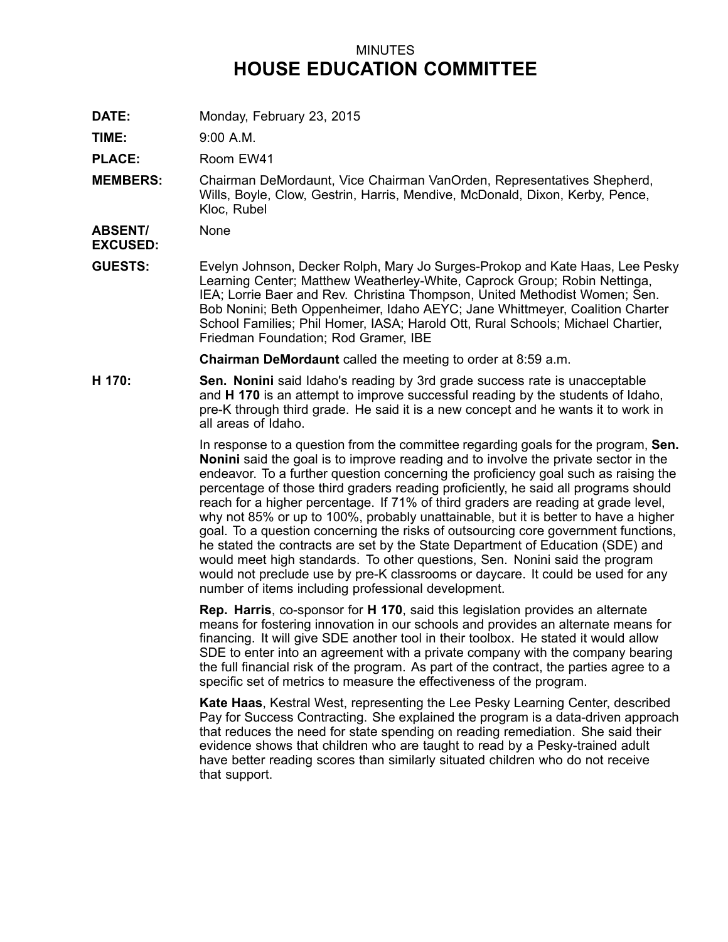## MINUTES **HOUSE EDUCATION COMMITTEE**

**DATE:** Monday, February 23, 2015

**TIME:** 9:00 A.M.

PLACE: Room EW41

**MEMBERS:** Chairman DeMordaunt, Vice Chairman VanOrden, Representatives Shepherd, Wills, Boyle, Clow, Gestrin, Harris, Mendive, McDonald, Dixon, Kerby, Pence, Kloc, Rubel

**ABSENT/** None

**EXCUSED:**

**GUESTS:** Evelyn Johnson, Decker Rolph, Mary Jo Surges-Prokop and Kate Haas, Lee Pesky Learning Center; Matthew Weatherley-White, Caprock Group; Robin Nettinga, IEA; Lorrie Baer and Rev. Christina Thompson, United Methodist Women; Sen. Bob Nonini; Beth Oppenheimer, Idaho AEYC; Jane Whittmeyer, Coalition Charter School Families; Phil Homer, IASA; Harold Ott, Rural Schools; Michael Chartier, Friedman Foundation; Rod Gramer, IBE

**Chairman DeMordaunt** called the meeting to order at 8:59 a.m.

**H 170: Sen. Nonini** said Idaho's reading by 3rd grade success rate is unacceptable and **H 170** is an attempt to improve successful reading by the students of Idaho, pre-K through third grade. He said it is <sup>a</sup> new concept and he wants it to work in all areas of Idaho.

> In response to <sup>a</sup> question from the committee regarding goals for the program, **Sen. Nonini** said the goal is to improve reading and to involve the private sector in the endeavor. To <sup>a</sup> further question concerning the proficiency goal such as raising the percentage of those third graders reading proficiently, he said all programs should reach for <sup>a</sup> higher percentage. If 71% of third graders are reading at grade level, why not 85% or up to 100%, probably unattainable, but it is better to have <sup>a</sup> higher goal. To <sup>a</sup> question concerning the risks of outsourcing core government functions, he stated the contracts are set by the State Department of Education (SDE) and would meet high standards. To other questions, Sen. Nonini said the program would not preclude use by pre-K classrooms or daycare. It could be used for any number of items including professional development.

> **Rep. Harris**, co-sponsor for **H 170**, said this legislation provides an alternate means for fostering innovation in our schools and provides an alternate means for financing. It will give SDE another tool in their toolbox. He stated it would allow SDE to enter into an agreement with <sup>a</sup> private company with the company bearing the full financial risk of the program. As part of the contract, the parties agree to <sup>a</sup> specific set of metrics to measure the effectiveness of the program.

**Kate Haas**, Kestral West, representing the Lee Pesky Learning Center, described Pay for Success Contracting. She explained the program is <sup>a</sup> data-driven approach that reduces the need for state spending on reading remediation. She said their evidence shows that children who are taught to read by <sup>a</sup> Pesky-trained adult have better reading scores than similarly situated children who do not receive that support.